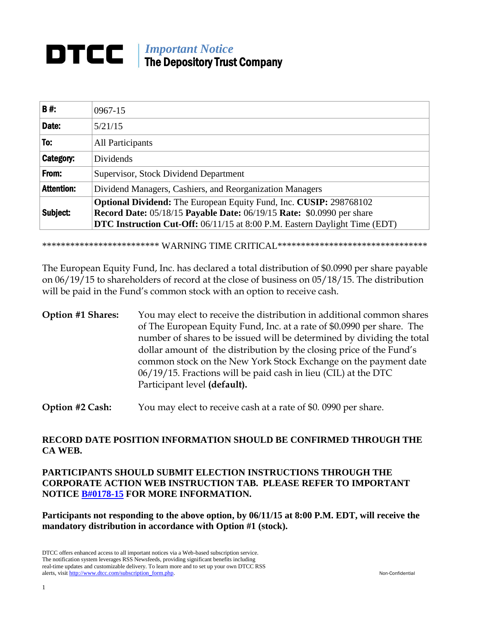#### DTCC | *Important Notice* The Depository Trust Company

| <b>B#:</b>        | $0967 - 15$                                                                                                                                        |
|-------------------|----------------------------------------------------------------------------------------------------------------------------------------------------|
| Date:             | 5/21/15                                                                                                                                            |
| To:               | All Participants                                                                                                                                   |
| Category:         | <b>Dividends</b>                                                                                                                                   |
| From:             | Supervisor, Stock Dividend Department                                                                                                              |
| <b>Attention:</b> | Dividend Managers, Cashiers, and Reorganization Managers                                                                                           |
| Subject:          | Optional Dividend: The European Equity Fund, Inc. CUSIP: 298768102<br><b>Record Date: 05/18/15 Payable Date: 06/19/15 Rate: \$0.0990 per share</b> |
|                   | <b>DTC Instruction Cut-Off:</b> 06/11/15 at 8:00 P.M. Eastern Daylight Time (EDT)                                                                  |

 $\ddot{\phantom{0}}$ \*\*\*\*\*\*\*\*\*\*\*\*\*\*\*\*\*\*\*\*\*\*\*\*\* WARNING TIME CRITICAL\*\*\*\*\*\*\*\*\*\*\*\*\*\*\*\*\*\*\*\*\*\*\*\*\*\*\*\*\*\*\*\*

 on 06/19/15 to shareholders of record at the close of business on 05/18/15. The distribution Ï The European Equity Fund, Inc. has declared a total distribution of \$0.0990 per share payable will be paid in the Fund's common stock with an option to receive cash.

# **Option #1 Shares:** You may elect to receive the distribution in additional common shares of The European Equity Fund, Inc. at a rate of \$0.0990 per share. The number of shares to be issued will be determined by dividing the total dollar amount of the distribution by the closing price of the Fund's common stock on the New York Stock Exchange on the payment date 06/19/15. Fractions will be paid cash in lieu (CIL) at the DTC Participant level **(default).**

**Option #2 Cash:** You may elect to receive cash at a rate of \$0. 0990 per share.

### **RECORD DATE POSITION INFORMATION SHOULD BE CONFIRMED THROUGH THE CA WEB.**

## **PARTICIPANTS SHOULD SUBMIT ELECTION INSTRUCTIONS THROUGH THE CORPORATE ACTION WEB INSTRUCTION TAB. PLEASE REFER TO IMPORTANT NOTICE [B#0178-15](http://www.dtcc.com/~/media/Files/pdf/2015/2/27/0178-15.pdf) FOR MORE INFORMATION.**

**Participants not responding to the above option, by 06/11/15 at 8:00 P.M. EDT, will receive the mandatory distribution in accordance with Option #1 (stock).**

DTCC offers enhanced access to all important notices via a Web-based subscription service. The notification system leverages RSS Newsfeeds, providing significant benefits including real-time updates and customizable delivery. To learn more and to set up your own DTCC RSS alerts, visit [http://www.dtcc.com/subscription\\_form.php.](http://www.dtcc.com/subscription_form.php) Non-Confidential